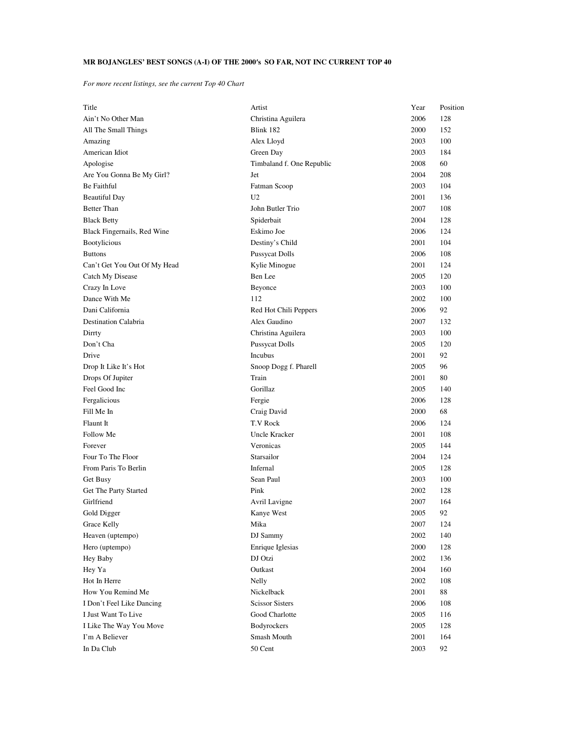## **MR BOJANGLES' BEST SONGS (A-I) OF THE 2000**′**s SO FAR, NOT INC CURRENT TOP 40**

*For more recent listings, see the current Top 40 Chart*

| Title                        | Artist                    | Year | Position |
|------------------------------|---------------------------|------|----------|
| Ain't No Other Man           | Christina Aguilera        | 2006 | 128      |
| All The Small Things         | Blink 182                 | 2000 | 152      |
| Amazing                      | Alex Lloyd                | 2003 | 100      |
| American Idiot               | Green Day                 | 2003 | 184      |
| Apologise                    | Timbaland f. One Republic | 2008 | 60       |
| Are You Gonna Be My Girl?    | Jet                       | 2004 | 208      |
| Be Faithful                  | Fatman Scoop              | 2003 | 104      |
| <b>Beautiful Day</b>         | U <sub>2</sub>            | 2001 | 136      |
| <b>Better Than</b>           | John Butler Trio          | 2007 | 108      |
| <b>Black Betty</b>           | Spiderbait                | 2004 | 128      |
| Black Fingernails, Red Wine  | Eskimo Joe                | 2006 | 124      |
| Bootylicious                 | Destiny's Child           | 2001 | 104      |
| <b>Buttons</b>               | <b>Pussycat Dolls</b>     | 2006 | 108      |
| Can't Get You Out Of My Head | Kylie Minogue             | 2001 | 124      |
| Catch My Disease             | Ben Lee                   | 2005 | 120      |
| Crazy In Love                | Beyonce                   | 2003 | 100      |
| Dance With Me                | 112                       | 2002 | 100      |
| Dani California              | Red Hot Chili Peppers     | 2006 | 92       |
| Destination Calabria         | Alex Gaudino              | 2007 | 132      |
| Dirrty                       | Christina Aguilera        | 2003 | 100      |
| Don't Cha                    | <b>Pussycat Dolls</b>     | 2005 | 120      |
| Drive                        | Incubus                   | 2001 | 92       |
| Drop It Like It's Hot        | Snoop Dogg f. Pharell     | 2005 | 96       |
| Drops Of Jupiter             | Train                     | 2001 | 80       |
| Feel Good Inc                | Gorillaz                  | 2005 | 140      |
| Fergalicious                 | Fergie                    | 2006 | 128      |
| Fill Me In                   | Craig David               | 2000 | 68       |
| Flaunt It                    | T.V Rock                  | 2006 | 124      |
| Follow Me                    | Uncle Kracker             | 2001 | 108      |
| Forever                      | Veronicas                 | 2005 | 144      |
| Four To The Floor            | Starsailor                | 2004 | 124      |
| From Paris To Berlin         | Infernal                  | 2005 | 128      |
| Get Busy                     | Sean Paul                 | 2003 | 100      |
| Get The Party Started        | Pink                      | 2002 | 128      |
| Girlfriend                   | Avril Lavigne             | 2007 | 164      |
| Gold Digger                  | Kanye West                | 2005 | 92       |
| Grace Kelly                  | Mika                      | 2007 | 124      |
| Heaven (uptempo)             | DJ Sammy                  | 2002 | 140      |
| Hero (uptempo)               | Enrique Iglesias          | 2000 | 128      |
| Hey Baby                     | DJ Otzi                   | 2002 | 136      |
| Hey Ya                       | Outkast                   | 2004 | 160      |
| Hot In Herre                 | Nelly                     | 2002 | 108      |
| How You Remind Me            | Nickelback                | 2001 | 88       |
| I Don't Feel Like Dancing    | <b>Scissor Sisters</b>    | 2006 | 108      |
| I Just Want To Live          | Good Charlotte            | 2005 | 116      |
| I Like The Way You Move      | Bodyrockers               | 2005 | 128      |
| I'm A Believer               | Smash Mouth               | 2001 | 164      |
| In Da Club                   | 50 Cent                   | 2003 | 92       |